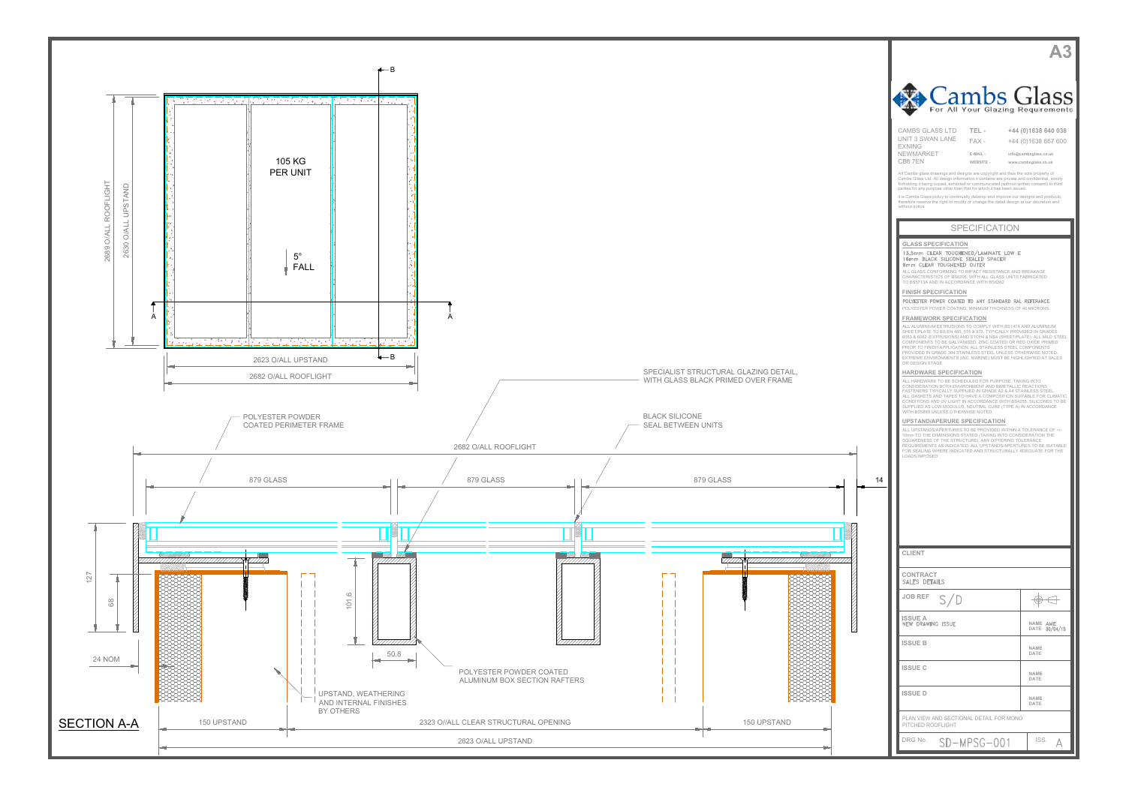